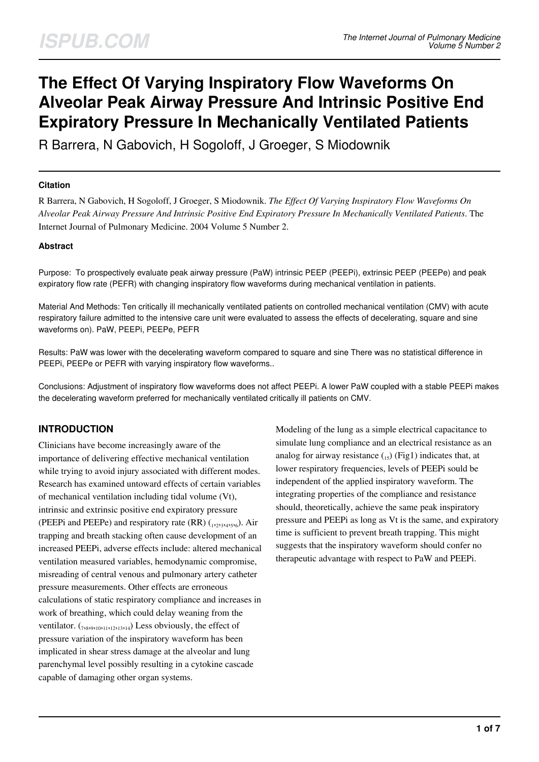# **The Effect Of Varying Inspiratory Flow Waveforms On Alveolar Peak Airway Pressure And Intrinsic Positive End Expiratory Pressure In Mechanically Ventilated Patients**

R Barrera, N Gabovich, H Sogoloff, J Groeger, S Miodownik

#### **Citation**

R Barrera, N Gabovich, H Sogoloff, J Groeger, S Miodownik. *The Effect Of Varying Inspiratory Flow Waveforms On Alveolar Peak Airway Pressure And Intrinsic Positive End Expiratory Pressure In Mechanically Ventilated Patients*. The Internet Journal of Pulmonary Medicine. 2004 Volume 5 Number 2.

#### **Abstract**

Purpose: To prospectively evaluate peak airway pressure (PaW) intrinsic PEEP (PEEPi), extrinsic PEEP (PEEPe) and peak expiratory flow rate (PEFR) with changing inspiratory flow waveforms during mechanical ventilation in patients.

Material And Methods: Ten critically ill mechanically ventilated patients on controlled mechanical ventilation (CMV) with acute respiratory failure admitted to the intensive care unit were evaluated to assess the effects of decelerating, square and sine waveforms on). PaW, PEEPi, PEEPe, PEFR

Results: PaW was lower with the decelerating waveform compared to square and sine There was no statistical difference in PEEPi, PEEPe or PEFR with varying inspiratory flow waveforms..

Conclusions: Adjustment of inspiratory flow waveforms does not affect PEEPi. A lower PaW coupled with a stable PEEPi makes the decelerating waveform preferred for mechanically ventilated critically ill patients on CMV.

## **INTRODUCTION**

Clinicians have become increasingly aware of the importance of delivering effective mechanical ventilation while trying to avoid injury associated with different modes. Research has examined untoward effects of certain variables of mechanical ventilation including tidal volume (Vt), intrinsic and extrinsic positive end expiratory pressure (PEEPi and PEEPe) and respiratory rate (RR)  $_{122334556}$ ). Air trapping and breath stacking often cause development of an increased PEEPi, adverse effects include: altered mechanical ventilation measured variables, hemodynamic compromise, misreading of central venous and pulmonary artery catheter pressure measurements. Other effects are erroneous calculations of static respiratory compliance and increases in work of breathing, which could delay weaning from the ventilator.  $_{(78,95101112213314)}$  Less obviously, the effect of pressure variation of the inspiratory waveform has been implicated in shear stress damage at the alveolar and lung parenchymal level possibly resulting in a cytokine cascade capable of damaging other organ systems.

Modeling of the lung as a simple electrical capacitance to simulate lung compliance and an electrical resistance as an analog for airway resistance  $\binom{15}{x}$  (Fig1) indicates that, at lower respiratory frequencies, levels of PEEPi sould be independent of the applied inspiratory waveform. The integrating properties of the compliance and resistance should, theoretically, achieve the same peak inspiratory pressure and PEEPi as long as Vt is the same, and expiratory time is sufficient to prevent breath trapping. This might suggests that the inspiratory waveform should confer no therapeutic advantage with respect to PaW and PEEPi.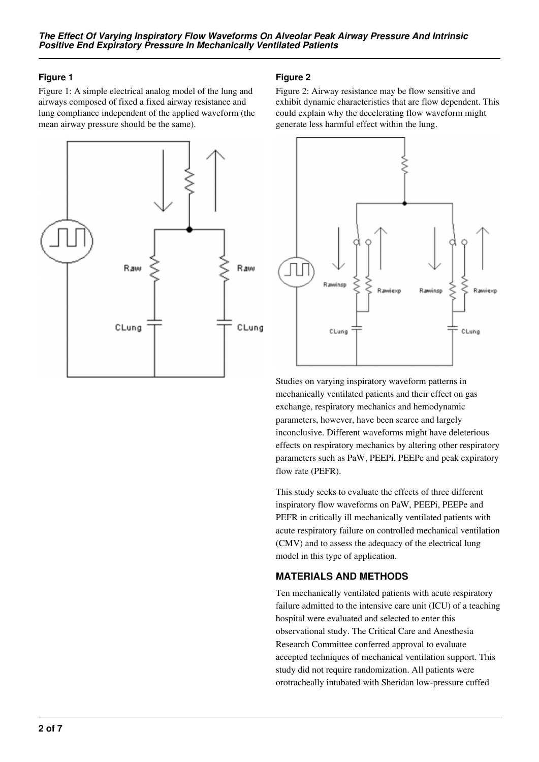## **Figure 1**

Figure 1: A simple electrical analog model of the lung and airways composed of fixed a fixed airway resistance and lung compliance independent of the applied waveform (the mean airway pressure should be the same).



## **Figure 2**

Figure 2: Airway resistance may be flow sensitive and exhibit dynamic characteristics that are flow dependent. This could explain why the decelerating flow waveform might generate less harmful effect within the lung.



Studies on varying inspiratory waveform patterns in mechanically ventilated patients and their effect on gas exchange, respiratory mechanics and hemodynamic parameters, however, have been scarce and largely inconclusive. Different waveforms might have deleterious effects on respiratory mechanics by altering other respiratory parameters such as PaW, PEEPi, PEEPe and peak expiratory flow rate (PEFR).

This study seeks to evaluate the effects of three different inspiratory flow waveforms on PaW, PEEPi, PEEPe and PEFR in critically ill mechanically ventilated patients with acute respiratory failure on controlled mechanical ventilation (CMV) and to assess the adequacy of the electrical lung model in this type of application.

## **MATERIALS AND METHODS**

Ten mechanically ventilated patients with acute respiratory failure admitted to the intensive care unit (ICU) of a teaching hospital were evaluated and selected to enter this observational study. The Critical Care and Anesthesia Research Committee conferred approval to evaluate accepted techniques of mechanical ventilation support. This study did not require randomization. All patients were orotracheally intubated with Sheridan low-pressure cuffed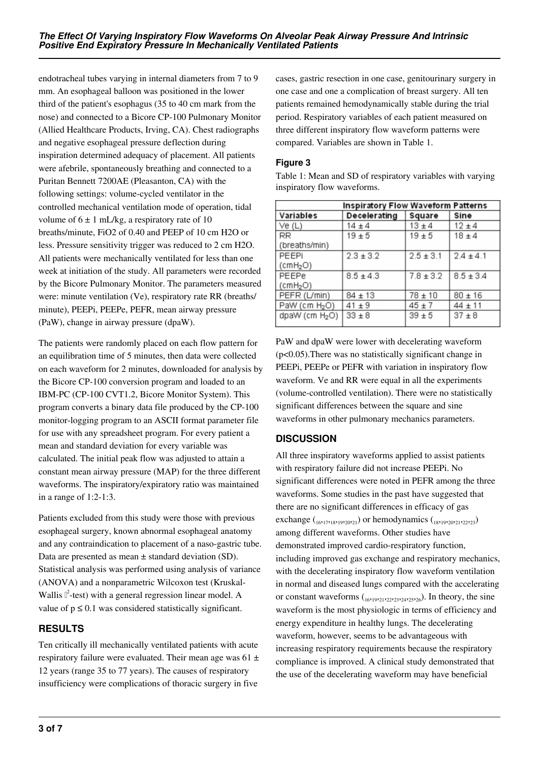endotracheal tubes varying in internal diameters from 7 to 9 mm. An esophageal balloon was positioned in the lower third of the patient's esophagus (35 to 40 cm mark from the nose) and connected to a Bicore CP-100 Pulmonary Monitor (Allied Healthcare Products, Irving, CA). Chest radiographs and negative esophageal pressure deflection during inspiration determined adequacy of placement. All patients were afebrile, spontaneously breathing and connected to a Puritan Bennett 7200AE (Pleasanton, CA) with the following settings: volume-cycled ventilator in the controlled mechanical ventilation mode of operation, tidal volume of  $6 \pm 1$  mL/kg, a respiratory rate of 10 breaths/minute, FiO2 of 0.40 and PEEP of 10 cm H2O or less. Pressure sensitivity trigger was reduced to 2 cm H2O. All patients were mechanically ventilated for less than one week at initiation of the study. All parameters were recorded by the Bicore Pulmonary Monitor. The parameters measured were: minute ventilation (Ve), respiratory rate RR (breaths/ minute), PEEPi, PEEPe, PEFR, mean airway pressure (PaW), change in airway pressure (dpaW).

The patients were randomly placed on each flow pattern for an equilibration time of 5 minutes, then data were collected on each waveform for 2 minutes, downloaded for analysis by the Bicore CP-100 conversion program and loaded to an IBM-PC (CP-100 CVT1.2, Bicore Monitor System). This program converts a binary data file produced by the CP-100 monitor-logging program to an ASCII format parameter file for use with any spreadsheet program. For every patient a mean and standard deviation for every variable was calculated. The initial peak flow was adjusted to attain a constant mean airway pressure (MAP) for the three different waveforms. The inspiratory/expiratory ratio was maintained in a range of 1:2-1:3.

Patients excluded from this study were those with previous esophageal surgery, known abnormal esophageal anatomy and any contraindication to placement of a naso-gastric tube. Data are presented as mean ± standard deviation (SD). Statistical analysis was performed using analysis of variance (ANOVA) and a nonparametric Wilcoxon test (Kruskal-Wallis  $\mathbb{I}^2$ -test) with a general regression linear model. A value of  $p \leq 0.1$  was considered statistically significant.

## **RESULTS**

Ten critically ill mechanically ventilated patients with acute respiratory failure were evaluated. Their mean age was  $61 \pm$ 12 years (range 35 to 77 years). The causes of respiratory insufficiency were complications of thoracic surgery in five

cases, gastric resection in one case, genitourinary surgery in one case and one a complication of breast surgery. All ten patients remained hemodynamically stable during the trial period. Respiratory variables of each patient measured on three different inspiratory flow waveform patterns were compared. Variables are shown in Table 1.

## **Figure 3**

| <b>Inspiratory Flow Waveform Patterns</b> |               |               |               |
|-------------------------------------------|---------------|---------------|---------------|
| Variables                                 | Decelerating  | Square        | Sine          |
| Ve(L)                                     | $14 \pm 4$    | $13 \pm 4$    | $12 + 4$      |
| RR                                        | $19 + 5$      | $19 + 5$      | $18 \pm 4$    |
| (breaths/min)                             |               |               |               |
| PEEPI                                     | $2.3 \pm 3.2$ | $2.5 \pm 3.1$ | $2.4 \pm 4.1$ |
| (cmH <sub>2</sub> O)                      |               |               |               |
| PEEPe                                     | $8.5 \pm 4.3$ | $7.8 \pm 3.2$ | $8.5 \pm 3.4$ |
| (cmH <sub>2</sub> O)                      |               |               |               |
| PEFR (L/min)                              | $84 \pm 13$   | $78 \pm 10$   | $80 + 16$     |
| PaW (cm $H_2O$ )                          | $41 \pm 9$    | $45 \pm 7$    | $44 \pm 11$   |
| dpaW (cm H <sub>2</sub> O)                | $33 \pm 8$    | $39 + 5$      | $37 + 8$      |

Table 1: Mean and SD of respiratory variables with varying inspiratory flow waveforms.

PaW and dpaW were lower with decelerating waveform (p<0.05).There was no statistically significant change in PEEPi, PEEPe or PEFR with variation in inspiratory flow waveform. Ve and RR were equal in all the experiments (volume-controlled ventilation). There were no statistically significant differences between the square and sine waveforms in other pulmonary mechanics parameters.

## **DISCUSSION**

All three inspiratory waveforms applied to assist patients with respiratory failure did not increase PEEPi. No significant differences were noted in PEFR among the three waveforms. Some studies in the past have suggested that there are no significant differences in efficacy of gas exchange ( $_{16,17,18,19,20,21}$ ) or hemodynamics ( $_{18,19,20,21,22,23}$ ) among different waveforms. Other studies have demonstrated improved cardio-respiratory function, including improved gas exchange and respiratory mechanics, with the decelerating inspiratory flow waveform ventilation in normal and diseased lungs compared with the accelerating or constant waveforms  $(16,19,21,22,23,24,25,26)$ . In theory, the sine waveform is the most physiologic in terms of efficiency and energy expenditure in healthy lungs. The decelerating waveform, however, seems to be advantageous with increasing respiratory requirements because the respiratory compliance is improved. A clinical study demonstrated that the use of the decelerating waveform may have beneficial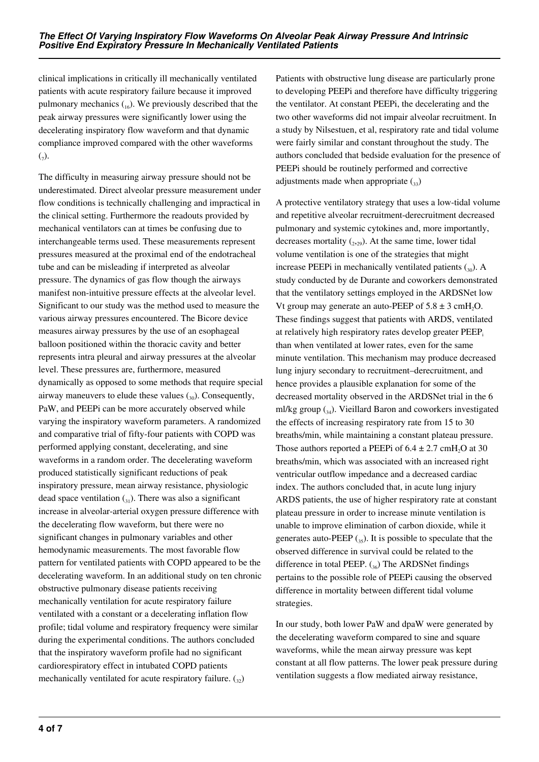clinical implications in critically ill mechanically ventilated patients with acute respiratory failure because it improved pulmonary mechanics  $\binom{16}{16}$ . We previously described that the peak airway pressures were significantly lower using the decelerating inspiratory flow waveform and that dynamic compliance improved compared with the other waveforms  $(7)$ .

The difficulty in measuring airway pressure should not be underestimated. Direct alveolar pressure measurement under flow conditions is technically challenging and impractical in the clinical setting. Furthermore the readouts provided by mechanical ventilators can at times be confusing due to interchangeable terms used. These measurements represent pressures measured at the proximal end of the endotracheal tube and can be misleading if interpreted as alveolar pressure. The dynamics of gas flow though the airways manifest non-intuitive pressure effects at the alveolar level. Significant to our study was the method used to measure the various airway pressures encountered. The Bicore device measures airway pressures by the use of an esophageal balloon positioned within the thoracic cavity and better represents intra pleural and airway pressures at the alveolar level. These pressures are, furthermore, measured dynamically as opposed to some methods that require special airway maneuvers to elude these values  $\binom{30}{20}$ . Consequently, PaW, and PEEPi can be more accurately observed while varying the inspiratory waveform parameters. A randomized and comparative trial of fifty-four patients with COPD was performed applying constant, decelerating, and sine waveforms in a random order. The decelerating waveform produced statistically significant reductions of peak inspiratory pressure, mean airway resistance, physiologic dead space ventilation  $_{(31)}$ . There was also a significant increase in alveolar-arterial oxygen pressure difference with the decelerating flow waveform, but there were no significant changes in pulmonary variables and other hemodynamic measurements. The most favorable flow pattern for ventilated patients with COPD appeared to be the decelerating waveform. In an additional study on ten chronic obstructive pulmonary disease patients receiving mechanically ventilation for acute respiratory failure ventilated with a constant or a decelerating inflation flow profile; tidal volume and respiratory frequency were similar during the experimental conditions. The authors concluded that the inspiratory waveform profile had no significant cardiorespiratory effect in intubated COPD patients mechanically ventilated for acute respiratory failure.  $\binom{32}{22}$ 

Patients with obstructive lung disease are particularly prone to developing PEEPi and therefore have difficulty triggering the ventilator. At constant PEEPi, the decelerating and the two other waveforms did not impair alveolar recruitment. In a study by Nilsestuen, et al, respiratory rate and tidal volume were fairly similar and constant throughout the study. The authors concluded that bedside evaluation for the presence of PEEPi should be routinely performed and corrective adjustments made when appropriate  $\binom{3}{3}$ 

A protective ventilatory strategy that uses a low-tidal volume and repetitive alveolar recruitment-derecruitment decreased pulmonary and systemic cytokines and, more importantly, decreases mortality  $(_{2,29})$ . At the same time, lower tidal volume ventilation is one of the strategies that might increase PEEPi in mechanically ventilated patients  $\binom{30}{30}$ . A study conducted by de Durante and coworkers demonstrated that the ventilatory settings employed in the ARDSNet low Vt group may generate an auto-PEEP of  $5.8 \pm 3$  cmH<sub>2</sub>O. These findings suggest that patients with ARDS, ventilated at relatively high respiratory rates develop greater PEEP. than when ventilated at lower rates, even for the same minute ventilation. This mechanism may produce decreased lung injury secondary to recruitment–derecruitment, and hence provides a plausible explanation for some of the decreased mortality observed in the ARDSNet trial in the 6 ml/kg group  $\binom{34}{4}$ . Vieillard Baron and coworkers investigated the effects of increasing respiratory rate from 15 to 30 breaths/min, while maintaining a constant plateau pressure. Those authors reported a PEEPi of  $6.4 \pm 2.7$  cmH<sub>2</sub>O at 30 breaths/min, which was associated with an increased right ventricular outflow impedance and a decreased cardiac index. The authors concluded that, in acute lung injury ARDS patients, the use of higher respiratory rate at constant plateau pressure in order to increase minute ventilation is unable to improve elimination of carbon dioxide, while it generates auto-PEEP  $_{(35)}$ . It is possible to speculate that the observed difference in survival could be related to the difference in total PEEP.  $\binom{36}{36}$  The ARDSNet findings pertains to the possible role of PEEPi causing the observed difference in mortality between different tidal volume strategies.

In our study, both lower PaW and dpaW were generated by the decelerating waveform compared to sine and square waveforms, while the mean airway pressure was kept constant at all flow patterns. The lower peak pressure during ventilation suggests a flow mediated airway resistance,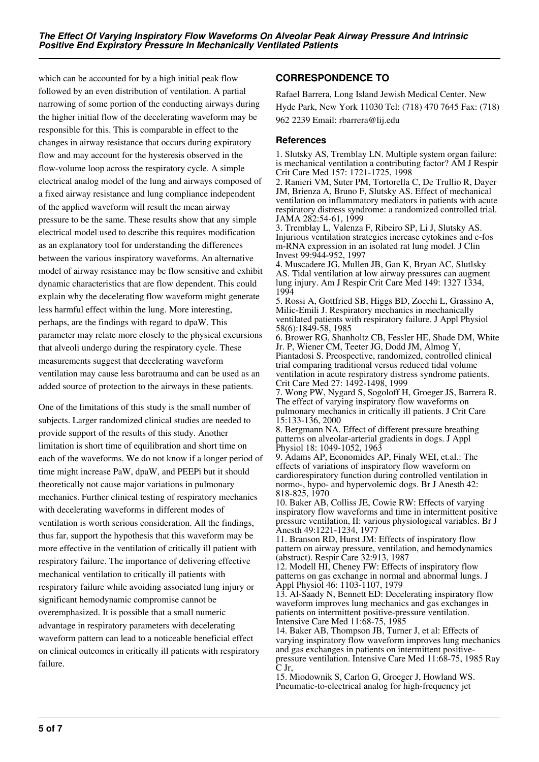which can be accounted for by a high initial peak flow followed by an even distribution of ventilation. A partial narrowing of some portion of the conducting airways during the higher initial flow of the decelerating waveform may be responsible for this. This is comparable in effect to the changes in airway resistance that occurs during expiratory flow and may account for the hysteresis observed in the flow-volume loop across the respiratory cycle. A simple electrical analog model of the lung and airways composed of a fixed airway resistance and lung compliance independent of the applied waveform will result the mean airway pressure to be the same. These results show that any simple electrical model used to describe this requires modification as an explanatory tool for understanding the differences between the various inspiratory waveforms. An alternative model of airway resistance may be flow sensitive and exhibit dynamic characteristics that are flow dependent. This could explain why the decelerating flow waveform might generate less harmful effect within the lung. More interesting, perhaps, are the findings with regard to dpaW. This parameter may relate more closely to the physical excursions that alveoli undergo during the respiratory cycle. These measurements suggest that decelerating waveform ventilation may cause less barotrauma and can be used as an added source of protection to the airways in these patients.

One of the limitations of this study is the small number of subjects. Larger randomized clinical studies are needed to provide support of the results of this study. Another limitation is short time of equilibration and short time on each of the waveforms. We do not know if a longer period of time might increase PaW, dpaW, and PEEPi but it should theoretically not cause major variations in pulmonary mechanics. Further clinical testing of respiratory mechanics with decelerating waveforms in different modes of ventilation is worth serious consideration. All the findings, thus far, support the hypothesis that this waveform may be more effective in the ventilation of critically ill patient with respiratory failure. The importance of delivering effective mechanical ventilation to critically ill patients with respiratory failure while avoiding associated lung injury or significant hemodynamic compromise cannot be overemphasized. It is possible that a small numeric advantage in respiratory parameters with decelerating waveform pattern can lead to a noticeable beneficial effect on clinical outcomes in critically ill patients with respiratory failure.

## **CORRESPONDENCE TO**

Rafael Barrera, Long Island Jewish Medical Center. New Hyde Park, New York 11030 Tel: (718) 470 7645 Fax: (718) 962 2239 Email: rbarrera@lij.edu

#### **References**

1. Slutsky AS, Tremblay LN. Multiple system organ failure: is mechanical ventilation a contributing factor? AM J Respir Crit Care Med 157: 1721-1725, 1998

2. Ranieri VM, Suter PM, Tortorella C, De Trullio R, Dayer JM, Brienza A, Bruno F, Slutsky AS. Effect of mechanical ventilation on inflammatory mediators in patients with acute respiratory distress syndrome: a randomized controlled trial. JAMA 282:54-61, 1999

3. Tremblay L, Valenza F, Ribeiro SP, Li J, Slutsky AS. Injurious ventilation strategies increase cytokines and c-fos m-RNA expression in an isolated rat lung model. J Clin Invest 99:944-952, 1997

4. Muscadere JG, Mullen JB, Gan K, Bryan AC, Slutlsky AS. Tidal ventilation at low airway pressures can augment lung injury. Am J Respir Crit Care Med 149: 1327 1334, 1994

5. Rossi A, Gottfried SB, Higgs BD, Zocchi L, Grassino A, Milic-Emili J. Respiratory mechanics in mechanically ventilated patients with respiratory failure. J Appl Physiol 58(6):1849-58, 1985

6. Brower RG, Shanholtz CB, Fessler HE, Shade DM, White Jr. P, Wiener CM, Teeter JG, Dodd JM, Almog Y, Piantadosi S. Preospective, randomized, controlled clinical trial comparing traditional versus reduced tidal volume ventilation in acute respiratory distress syndrome patients. Crit Care Med 27: 1492-1498, 1999

7. Wong PW, Nygard S, Sogoloff H, Groeger JS, Barrera R. The effect of varying inspiratory flow waveforms on pulmonary mechanics in critically ill patients. J Crit Care 15:133-136, 2000

8. Bergmann NA. Effect of different pressure breathing patterns on alveolar-arterial gradients in dogs. J Appl Physiol 18: 1049-1052, 1963

9. Adams AP, Economides AP, Finaly WEI, et.al.: The effects of variations of inspiratory flow waveform on cardiorespiratory function during controlled ventilation in normo-, hypo- and hypervolemic dogs. Br J Anesth 42: 818-825, 1970

10. Baker AB, Colliss JE, Cowie RW: Effects of varying inspiratory flow waveforms and time in intermittent positive pressure ventilation, II: various physiological variables. Br J Anesth 49:1221-1234, 1977

11. Branson RD, Hurst JM: Effects of inspiratory flow pattern on airway pressure, ventilation, and hemodynamics (abstract). Respir Care 32:913, 1987

12. Modell HI, Cheney FW: Effects of inspiratory flow patterns on gas exchange in normal and abnormal lungs. J Appl Physiol 46: 1103-1107, 1979

13. Al-Saady N, Bennett ED: Decelerating inspiratory flow waveform improves lung mechanics and gas exchanges in patients on intermittent positive-pressure ventilation. Intensive Care Med 11:68-75, 1985

14. Baker AB, Thompson JB, Turner J, et al: Effects of varying inspiratory flow waveform improves lung mechanics and gas exchanges in patients on intermittent positivepressure ventilation. Intensive Care Med 11:68-75, 1985 Ray C Jr,

15. Miodownik S, Carlon G, Groeger J, Howland WS. Pneumatic-to-electrical analog for high-frequency jet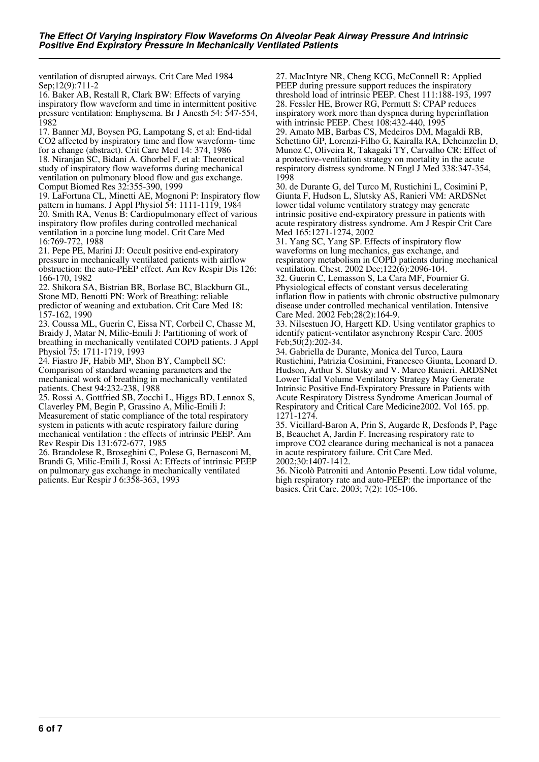ventilation of disrupted airways. Crit Care Med 1984 Sep;12(9):711-2

16. Baker AB, Restall R, Clark BW: Effects of varying inspiratory flow waveform and time in intermittent positive pressure ventilation: Emphysema. Br J Anesth 54: 547-554, 1982

17. Banner MJ, Boysen PG, Lampotang S, et al: End-tidal CO2 affected by inspiratory time and flow waveform- time for a change (abstract). Crit Care Med 14: 374, 1986 18. Niranjan SC, Bidani A. Ghorbel F, et al: Theoretical study of inspiratory flow waveforms during mechanical ventilation on pulmonary blood flow and gas exchange. Comput Biomed Res 32:355-390, 1999

19. LaFortuna CL, Minetti AE, Mognoni P: Inspiratory flow pattern in humans. J Appl Physiol 54: 1111-1119, 1984 20. Smith RA, Venus B: Cardiopulmonary effect of various inspiratory flow profiles during controlled mechanical ventilation in a porcine lung model. Crit Care Med 16:769-772, 1988

21. Pepe PE, Marini JJ: Occult positive end-expiratory pressure in mechanically ventilated patients with airflow obstruction: the auto-PEEP effect. Am Rev Respir Dis 126: 166-170, 1982

22. Shikora SA, Bistrian BR, Borlase BC, Blackburn GL, Stone MD, Benotti PN: Work of Breathing: reliable predictor of weaning and extubation. Crit Care Med 18: 157-162, 1990

23. Coussa ML, Guerin C, Eissa NT, Corbeil C, Chasse M, Braidy J, Matar N, Milic-Emili J: Partitioning of work of breathing in mechanically ventilated COPD patients. J Appl Physiol 75: 1711-1719, 1993

24. Fiastro JF, Habib MP, Shon BY, Campbell SC: Comparison of standard weaning parameters and the mechanical work of breathing in mechanically ventilated patients. Chest 94:232-238, 1988

25. Rossi A, Gottfried SB, Zocchi L, Higgs BD, Lennox S, Claverley PM, Begin P, Grassino A, Milic-Emili J: Measurement of static compliance of the total respiratory system in patients with acute respiratory failure during mechanical ventilation : the effects of intrinsic PEEP. Am Rev Respir Dis 131:672-677, 1985

26. Brandolese R, Broseghini C, Polese G, Bernasconi M, Brandi G, Milic-Emili J, Rossi A: Effects of intrinsic PEEP on pulmonary gas exchange in mechanically ventilated patients. Eur Respir J 6:358-363, 1993

27. MacIntyre NR, Cheng KCG, McConnell R: Applied PEEP during pressure support reduces the inspiratory threshold load of intrinsic PEEP. Chest 111:188-193, 1997 28. Fessler HE, Brower RG, Permutt S: CPAP reduces inspiratory work more than dyspnea during hyperinflation with intrinsic PEEP. Chest 108:432-440, 1995 29. Amato MB, Barbas CS, Medeiros DM, Magaldi RB, Schettino GP, Lorenzi-Filho G, Kairalla RA, Deheinzelin D, Munoz C, Oliveira R, Takagaki TY, Carvalho CR: Effect of a protective-ventilation strategy on mortality in the acute respiratory distress syndrome. N Engl J Med 338:347-354, 1998

30. de Durante G, del Turco M, Rustichini L, Cosimini P, Giunta F, Hudson L, Slutsky AS, Ranieri VM: ARDSNet lower tidal volume ventilatory strategy may generate intrinsic positive end-expiratory pressure in patients with acute respiratory distress syndrome. Am J Respir Crit Care Med 165:1271-1274, 2002

31. Yang SC, Yang SP. Effects of inspiratory flow waveforms on lung mechanics, gas exchange, and respiratory metabolism in COPD patients during mechanical ventilation. Chest. 2002 Dec;122(6):2096-104.

32. Guerin C, Lemasson S, La Cara MF, Fournier G. Physiological effects of constant versus decelerating inflation flow in patients with chronic obstructive pulmonary disease under controlled mechanical ventilation. Intensive Care Med. 2002 Feb;28(2):164-9.

33. Nilsestuen JO, Hargett KD. Using ventilator graphics to identify patient-ventilator asynchrony Respir Care. 2005 Feb:  $50(2)$ : 202-34.

34. Gabriella de Durante, Monica del Turco, Laura Rustichini, Patrizia Cosimini, Francesco Giunta, Leonard D. Hudson, Arthur S. Slutsky and V. Marco Ranieri. ARDSNet Lower Tidal Volume Ventilatory Strategy May Generate Intrinsic Positive End-Expiratory Pressure in Patients with Acute Respiratory Distress Syndrome American Journal of Respiratory and Critical Care Medicine2002. Vol 165. pp. 1271-1274.

35. Vieillard-Baron A, Prin S, Augarde R, Desfonds P, Page B, Beauchet A, Jardin F. Increasing respiratory rate to improve CO2 clearance during mechanical is not a panacea in acute respiratory failure. Crit Care Med.

2002;30:1407-1412.

36. Nicolò Patroniti and Antonio Pesenti. Low tidal volume, high respiratory rate and auto-PEEP: the importance of the basics. Crit Care. 2003; 7(2): 105-106.